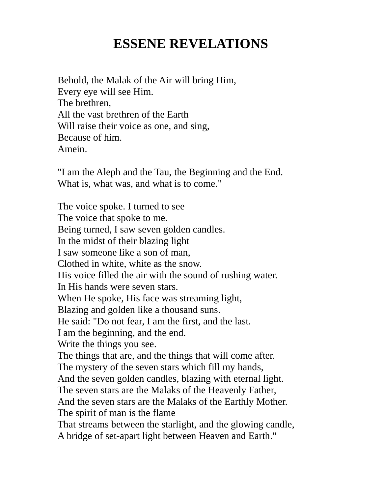## ESSENE REVELATIONS

Behold, the Malak of the Air will bring Him, Every eye will see Him. The brethren, All the vast brethren of the Earth Will raise their voice as one, and sing, Because of him. Amein.

"I am the Aleph and the Tau, the Beginning and the End. What is, what was, and what is to come."

The voice spoke. I turned to see The voice that spoke to me. Being turned, I saw seven golden candles. In the midst of their blazing light I saw someone like a son of man, Clothed in white, white as the snow. His voice filled the air with the sound of rushing water. In His hands were seven stars. When He spoke, His face was streaming light, Blazing and golden like a thousand suns. He said: "Do not fear, I am the first, and the last. I am the beginning, and the end. Write the things you see. The things that are, and the things that will come after. The mystery of the seven stars which fill my hands, And the seven golden candles, blazing with eternal light. The seven stars are the Malaks of the Heavenly Father, And the seven stars are the Malaks of the Earthly Mother. The spirit of man is the flame That streams between the starlight, and the glowing candle, A bridge of set-apart light between Heaven and Earth."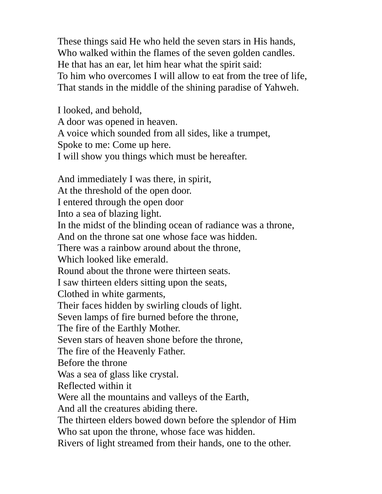These things said He who held the seven stars in His hands, Who walked within the flames of the seven golden candles. He that has an ear, let him hear what the spirit said: To him who overcomes I will allow to eat from the tree of life, That stands in the middle of the shining paradise of Yahweh.

I looked, and behold, A door was opened in heaven. A voice which sounded from all sides, like a trumpet, Spoke to me: Come up here. I will show you things which must be hereafter.

And immediately I was there, in spirit, At the threshold of the open door. I entered through the open door Into a sea of blazing light. In the midst of the blinding ocean of radiance was a throne, And on the throne sat one whose face was hidden. There was a rainbow around about the throne, Which looked like emerald. Round about the throne were thirteen seats. I saw thirteen elders sitting upon the seats, Clothed in white garments, Their faces hidden by swirling clouds of light. Seven lamps of fire burned before the throne, The fire of the Earthly Mother. Seven stars of heaven shone before the throne, The fire of the Heavenly Father. Before the throne Was a sea of glass like crystal. Reflected within it Were all the mountains and valleys of the Earth, And all the creatures abiding there. The thirteen elders bowed down before the splendor of Him Who sat upon the throne, whose face was hidden. Rivers of light streamed from their hands, one to the other.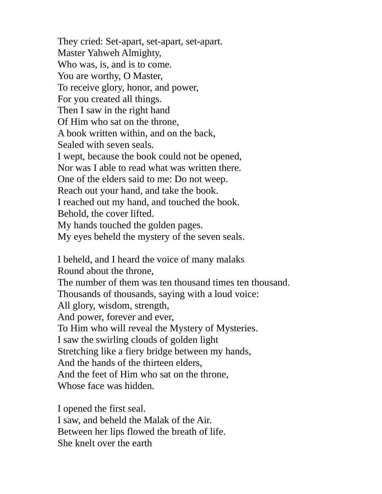They cried: Set-apart, set-apart, set-apart. Master Yahweh Almighty, Who was, is, and is to come. You are worthy, O Master, To receive glory, honor, and power, For you created all things. Then I saw in the right hand Of Him who sat on the throne, A book written within, and on the back, Sealed with seven seals. I wept, because the book could not be opened, Nor was I able to read what was written there. One of the elders said to me: Do not weep. Reach out your hand, and take the book. I reached out my hand, and touched the book. Behold, the cover lifted. My hands touched the golden pages. My eyes beheld the mystery of the seven seals.

I beheld, and I heard the voice of many malaks Round about the throne, The number of them was ten thousand times ten thousand. Thousands of thousands, saying with a loud voice: All glory, wisdom, strength, And power, forever and ever, To Him who will reveal the Mystery of Mysteries. I saw the swirling clouds of golden light Stretching like a fiery bridge between my hands, And the hands of the thirteen elders, And the feet of Him who sat on the throne, Whose face was hidden.

I opened the first seal. I saw, and beheld the Malak of the Air. Between her lips flowed the breath of life. She knelt over the earth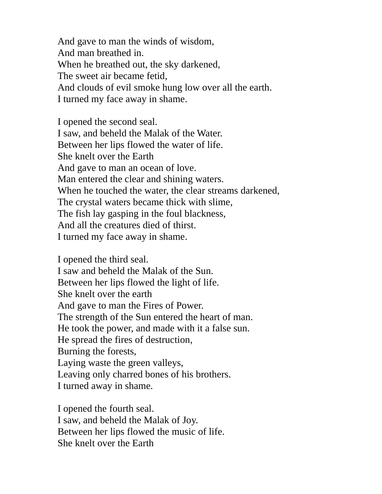And gave to man the winds of wisdom, And man breathed in. When he breathed out, the sky darkened, The sweet air became fetid, And clouds of evil smoke hung low over all the earth. I turned my face away in shame.

I opened the second seal. I saw, and beheld the Malak of the Water. Between her lips flowed the water of life. She knelt over the Earth And gave to man an ocean of love. Man entered the clear and shining waters. When he touched the water, the clear streams darkened, The crystal waters became thick with slime, The fish lay gasping in the foul blackness, And all the creatures died of thirst. I turned my face away in shame.

I opened the third seal. I saw and beheld the Malak of the Sun. Between her lips flowed the light of life. She knelt over the earth And gave to man the Fires of Power. The strength of the Sun entered the heart of man. He took the power, and made with it a false sun. He spread the fires of destruction, Burning the forests, Laying waste the green valleys, Leaving only charred bones of his brothers. I turned away in shame.

I opened the fourth seal. I saw, and beheld the Malak of Joy. Between her lips flowed the music of life. She knelt over the Earth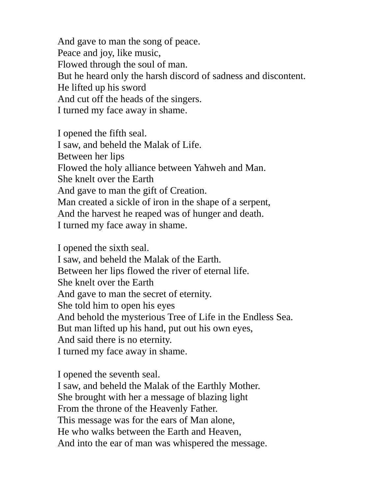And gave to man the song of peace. Peace and joy, like music, Flowed through the soul of man. But he heard only the harsh discord of sadness and discontent. He lifted up his sword And cut off the heads of the singers. I turned my face away in shame.

I opened the fifth seal. I saw, and beheld the Malak of Life. Between her lips Flowed the holy alliance between Yahweh and Man. She knelt over the Earth And gave to man the gift of Creation. Man created a sickle of iron in the shape of a serpent, And the harvest he reaped was of hunger and death. I turned my face away in shame.

I opened the sixth seal. I saw, and beheld the Malak of the Earth. Between her lips flowed the river of eternal life. She knelt over the Earth And gave to man the secret of eternity. She told him to open his eyes And behold the mysterious Tree of Life in the Endless Sea. But man lifted up his hand, put out his own eyes, And said there is no eternity. I turned my face away in shame.

I opened the seventh seal.

I saw, and beheld the Malak of the Earthly Mother. She brought with her a message of blazing light From the throne of the Heavenly Father. This message was for the ears of Man alone, He who walks between the Earth and Heaven, And into the ear of man was whispered the message.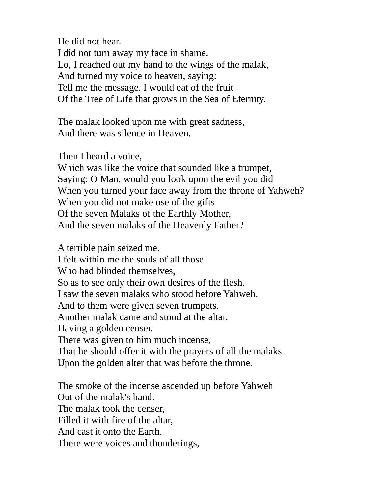He did not hear.

I did not turn away my face in shame. Lo, I reached out my hand to the wings of the malak, And turned my voice to heaven, saying: Tell me the message. I would eat of the fruit Of the Tree of Life that grows in the Sea of Eternity.

The malak looked upon me with great sadness, And there was silence in Heaven.

Then I heard a voice,

Which was like the voice that sounded like a trumpet, Saying: O Man, would you look upon the evil you did When you turned your face away from the throne of Yahweh? When you did not make use of the gifts Of the seven Malaks of the Earthly Mother, And the seven malaks of the Heavenly Father?

A terrible pain seized me. I felt within me the souls of all those Who had blinded themselves, So as to see only their own desires of the flesh. I saw the seven malaks who stood before Yahweh, And to them were given seven trumpets. Another malak came and stood at the altar, Having a golden censer. There was given to him much incense, That he should offer it with the prayers of all the malaks Upon the golden alter that was before the throne.

The smoke of the incense ascended up before Yahweh Out of the malak's hand. The malak took the censer, Filled it with fire of the altar, And cast it onto the Earth. There were voices and thunderings,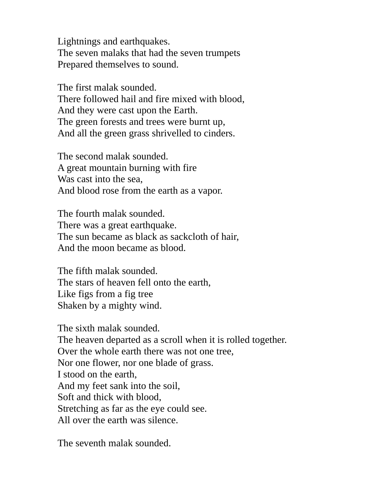Lightnings and earthquakes. The seven malaks that had the seven trumpets Prepared themselves to sound.

The first malak sounded. There followed hail and fire mixed with blood, And they were cast upon the Earth. The green forests and trees were burnt up, And all the green grass shrivelled to cinders.

The second malak sounded. A great mountain burning with fire Was cast into the sea, And blood rose from the earth as a vapor.

The fourth malak sounded. There was a great earthquake. The sun became as black as sackcloth of hair, And the moon became as blood.

The fifth malak sounded. The stars of heaven fell onto the earth, Like figs from a fig tree Shaken by a mighty wind.

The sixth malak sounded. The heaven departed as a scroll when it is rolled together. Over the whole earth there was not one tree, Nor one flower, nor one blade of grass. I stood on the earth, And my feet sank into the soil, Soft and thick with blood, Stretching as far as the eye could see. All over the earth was silence.

The seventh malak sounded.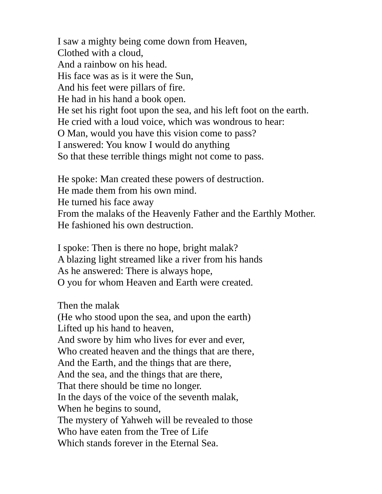I saw a mighty being come down from Heaven, Clothed with a cloud, And a rainbow on his head. His face was as is it were the Sun, And his feet were pillars of fire. He had in his hand a book open. He set his right foot upon the sea, and his left foot on the earth. He cried with a loud voice, which was wondrous to hear: O Man, would you have this vision come to pass? I answered: You know I would do anything So that these terrible things might not come to pass.

He spoke: Man created these powers of destruction. He made them from his own mind. He turned his face away From the malaks of the Heavenly Father and the Earthly Mother. He fashioned his own destruction.

I spoke: Then is there no hope, bright malak? A blazing light streamed like a river from his hands As he answered: There is always hope, O you for whom Heaven and Earth were created.

Then the malak

(He who stood upon the sea, and upon the earth) Lifted up his hand to heaven, And swore by him who lives for ever and ever, Who created heaven and the things that are there, And the Earth, and the things that are there, And the sea, and the things that are there, That there should be time no longer. In the days of the voice of the seventh malak, When he begins to sound, The mystery of Yahweh will be revealed to those Who have eaten from the Tree of Life Which stands forever in the Eternal Sea.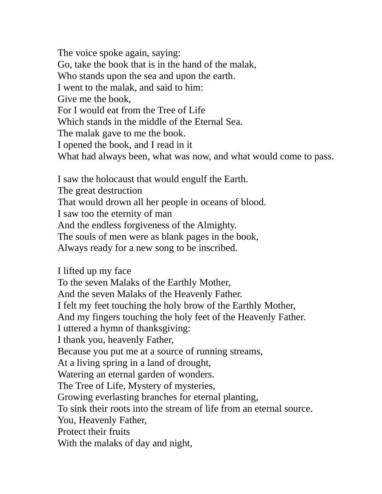The voice spoke again, saying: Go, take the book that is in the hand of the malak, Who stands upon the sea and upon the earth. I went to the malak, and said to him: Give me the book, For I would eat from the Tree of Life Which stands in the middle of the Eternal Sea. The malak gave to me the book. I opened the book, and I read in it What had always been, what was now, and what would come to pass.

I saw the holocaust that would engulf the Earth. The great destruction That would drown all her people in oceans of blood. I saw too the eternity of man And the endless forgiveness of the Almighty. The souls of men were as blank pages in the book, Always ready for a new song to be inscribed.

I lifted up my face To the seven Malaks of the Earthly Mother, And the seven Malaks of the Heavenly Father. I felt my feet touching the holy brow of the Earthly Mother, And my fingers touching the holy feet of the Heavenly Father. I uttered a hymn of thanksgiving: I thank you, heavenly Father, Because you put me at a source of running streams, At a living spring in a land of drought, Watering an eternal garden of wonders. The Tree of Life, Mystery of mysteries, Growing everlasting branches for eternal planting, To sink their roots into the stream of life from an eternal source. You, Heavenly Father, Protect their fruits With the malaks of day and night,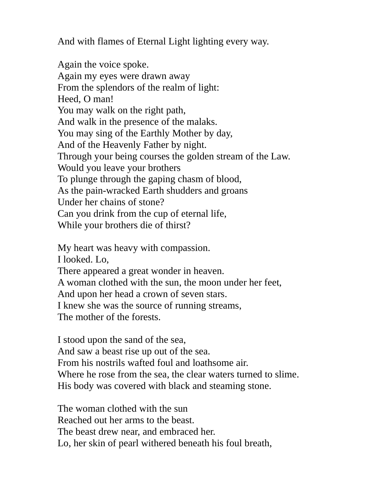And with flames of Eternal Light lighting every way.

Again the voice spoke. Again my eyes were drawn away From the splendors of the realm of light: Heed, O man! You may walk on the right path, And walk in the presence of the malaks. You may sing of the Earthly Mother by day, And of the Heavenly Father by night. Through your being courses the golden stream of the Law. Would you leave your brothers To plunge through the gaping chasm of blood, As the pain-wracked Earth shudders and groans Under her chains of stone? Can you drink from the cup of eternal life, While your brothers die of thirst?

My heart was heavy with compassion.

I looked. Lo,

There appeared a great wonder in heaven.

A woman clothed with the sun, the moon under her feet,

And upon her head a crown of seven stars.

I knew she was the source of running streams,

The mother of the forests.

I stood upon the sand of the sea, And saw a beast rise up out of the sea. From his nostrils wafted foul and loathsome air. Where he rose from the sea, the clear waters turned to slime. His body was covered with black and steaming stone.

The woman clothed with the sun Reached out her arms to the beast. The beast drew near, and embraced her. Lo, her skin of pearl withered beneath his foul breath,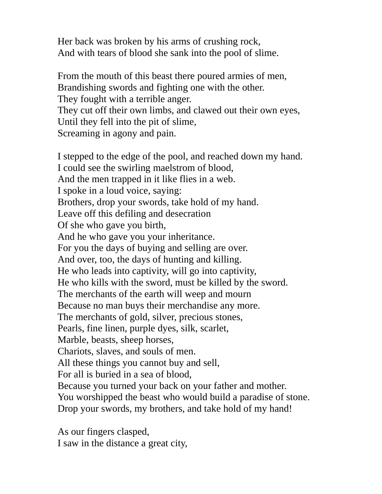Her back was broken by his arms of crushing rock, And with tears of blood she sank into the pool of slime.

From the mouth of this beast there poured armies of men, Brandishing swords and fighting one with the other. They fought with a terrible anger. They cut off their own limbs, and clawed out their own eyes, Until they fell into the pit of slime, Screaming in agony and pain.

I stepped to the edge of the pool, and reached down my hand. I could see the swirling maelstrom of blood, And the men trapped in it like flies in a web. I spoke in a loud voice, saying: Brothers, drop your swords, take hold of my hand. Leave off this defiling and desecration Of she who gave you birth, And he who gave you your inheritance. For you the days of buying and selling are over. And over, too, the days of hunting and killing. He who leads into captivity, will go into captivity, He who kills with the sword, must be killed by the sword. The merchants of the earth will weep and mourn Because no man buys their merchandise any more. The merchants of gold, silver, precious stones, Pearls, fine linen, purple dyes, silk, scarlet, Marble, beasts, sheep horses, Chariots, slaves, and souls of men. All these things you cannot buy and sell, For all is buried in a sea of blood, Because you turned your back on your father and mother. You worshipped the beast who would build a paradise of stone. Drop your swords, my brothers, and take hold of my hand!

As our fingers clasped, I saw in the distance a great city,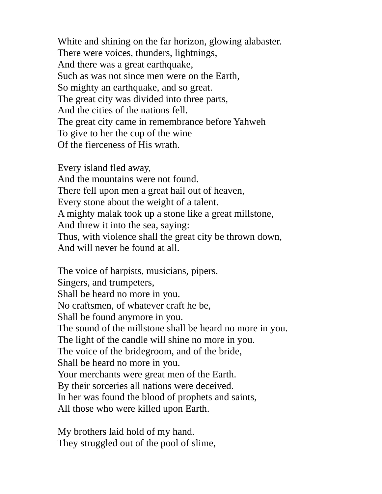White and shining on the far horizon, glowing alabaster. There were voices, thunders, lightnings, And there was a great earthquake, Such as was not since men were on the Earth, So mighty an earthquake, and so great. The great city was divided into three parts, And the cities of the nations fell. The great city came in remembrance before Yahweh To give to her the cup of the wine Of the fierceness of His wrath.

Every island fled away, And the mountains were not found. There fell upon men a great hail out of heaven, Every stone about the weight of a talent. A mighty malak took up a stone like a great millstone, And threw it into the sea, saying: Thus, with violence shall the great city be thrown down, And will never be found at all.

The voice of harpists, musicians, pipers, Singers, and trumpeters, Shall be heard no more in you. No craftsmen, of whatever craft he be, Shall be found anymore in you. The sound of the millstone shall be heard no more in you. The light of the candle will shine no more in you. The voice of the bridegroom, and of the bride, Shall be heard no more in you. Your merchants were great men of the Earth. By their sorceries all nations were deceived. In her was found the blood of prophets and saints, All those who were killed upon Earth.

My brothers laid hold of my hand. They struggled out of the pool of slime,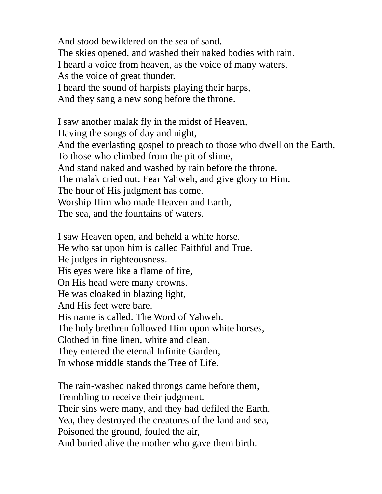And stood bewildered on the sea of sand. The skies opened, and washed their naked bodies with rain. I heard a voice from heaven, as the voice of many waters, As the voice of great thunder. I heard the sound of harpists playing their harps, And they sang a new song before the throne.

I saw another malak fly in the midst of Heaven, Having the songs of day and night, And the everlasting gospel to preach to those who dwell on the Earth, To those who climbed from the pit of slime, And stand naked and washed by rain before the throne. The malak cried out: Fear Yahweh, and give glory to Him. The hour of His judgment has come. Worship Him who made Heaven and Earth, The sea, and the fountains of waters.

I saw Heaven open, and beheld a white horse. He who sat upon him is called Faithful and True. He judges in righteousness. His eyes were like a flame of fire, On His head were many crowns. He was cloaked in blazing light, And His feet were bare. His name is called: The Word of Yahweh. The holy brethren followed Him upon white horses, Clothed in fine linen, white and clean. They entered the eternal Infinite Garden, In whose middle stands the Tree of Life.

The rain-washed naked throngs came before them, Trembling to receive their judgment. Their sins were many, and they had defiled the Earth. Yea, they destroyed the creatures of the land and sea, Poisoned the ground, fouled the air, And buried alive the mother who gave them birth.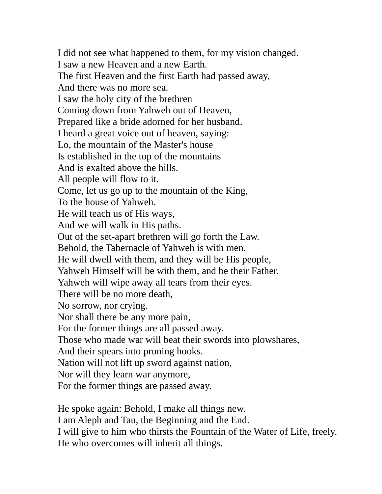I did not see what happened to them, for my vision changed. I saw a new Heaven and a new Earth. The first Heaven and the first Earth had passed away, And there was no more sea. I saw the holy city of the brethren Coming down from Yahweh out of Heaven, Prepared like a bride adorned for her husband. I heard a great voice out of heaven, saying: Lo, the mountain of the Master's house Is established in the top of the mountains And is exalted above the hills. All people will flow to it. Come, let us go up to the mountain of the King, To the house of Yahweh. He will teach us of His ways, And we will walk in His paths. Out of the set-apart brethren will go forth the Law. Behold, the Tabernacle of Yahweh is with men. He will dwell with them, and they will be His people, Yahweh Himself will be with them, and be their Father. Yahweh will wipe away all tears from their eyes. There will be no more death, No sorrow, nor crying. Nor shall there be any more pain, For the former things are all passed away. Those who made war will beat their swords into plowshares, And their spears into pruning hooks. Nation will not lift up sword against nation, Nor will they learn war anymore, For the former things are passed away.

He spoke again: Behold, I make all things new. I am Aleph and Tau, the Beginning and the End. I will give to him who thirsts the Fountain of the Water of Life, freely. He who overcomes will inherit all things.